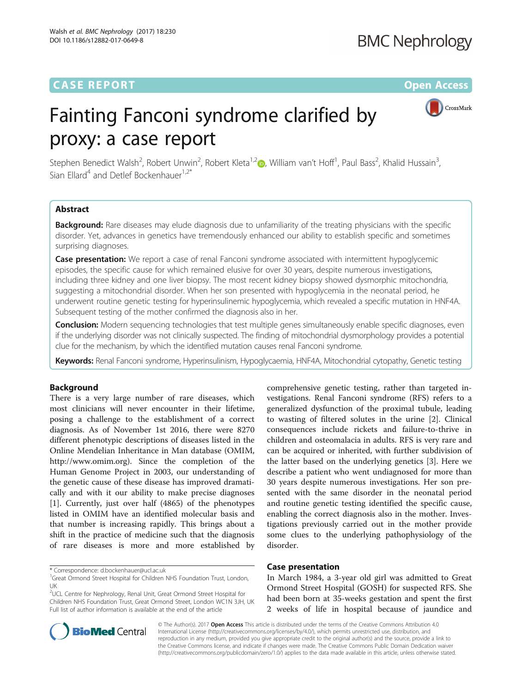# **CASE REPORT CASE REPORT CASE REPORT**

# Fainting Fanconi syndrome clarified by



,

proxy: a case report Stephen Benedict Walsh<sup>2</sup>[,](http://orcid.org/0000-0002-0228-8656) Robert Unwin<sup>2</sup>, Robert Kleta<sup>1,2</sup> (D, William van't Hoff<sup>1</sup>, Paul Bass<sup>2</sup>, Khalid Hussain<sup>3</sup> Sian Ellard<sup>4</sup> and Detlef Bockenhauer<sup>1,2\*</sup>

# Abstract

Background: Rare diseases may elude diagnosis due to unfamiliarity of the treating physicians with the specific disorder. Yet, advances in genetics have tremendously enhanced our ability to establish specific and sometimes surprising diagnoses.

**Case presentation:** We report a case of renal Fanconi syndrome associated with intermittent hypoglycemic episodes, the specific cause for which remained elusive for over 30 years, despite numerous investigations, including three kidney and one liver biopsy. The most recent kidney biopsy showed dysmorphic mitochondria, suggesting a mitochondrial disorder. When her son presented with hypoglycemia in the neonatal period, he underwent routine genetic testing for hyperinsulinemic hypoglycemia, which revealed a specific mutation in HNF4A. Subsequent testing of the mother confirmed the diagnosis also in her.

**Conclusion:** Modern sequencing technologies that test multiple genes simultaneously enable specific diagnoses, even if the underlying disorder was not clinically suspected. The finding of mitochondrial dysmorphology provides a potential clue for the mechanism, by which the identified mutation causes renal Fanconi syndrome.

Keywords: Renal Fanconi syndrome, Hyperinsulinism, Hypoglycaemia, HNF4A, Mitochondrial cytopathy, Genetic testing

### Background

There is a very large number of rare diseases, which most clinicians will never encounter in their lifetime, posing a challenge to the establishment of a correct diagnosis. As of November 1st 2016, there were 8270 different phenotypic descriptions of diseases listed in the Online Mendelian Inheritance in Man database (OMIM, <http://www.omim.org>). Since the completion of the Human Genome Project in 2003, our understanding of the genetic cause of these disease has improved dramatically and with it our ability to make precise diagnoses [[1\]](#page-3-0). Currently, just over half (4865) of the phenotypes listed in OMIM have an identified molecular basis and that number is increasing rapidly. This brings about a shift in the practice of medicine such that the diagnosis of rare diseases is more and more established by

\* Correspondence: [d.bockenhauer@ucl.ac.uk](mailto:d.bockenhauer@ucl.ac.uk) <sup>1</sup>

<sup>2</sup>UCL Centre for Nephrology, Renal Unit, Great Ormond Street Hospital for Children NHS Foundation Trust, Great Ormond Street, London WC1N 3JH, UK Full list of author information is available at the end of the article

comprehensive genetic testing, rather than targeted investigations. Renal Fanconi syndrome (RFS) refers to a generalized dysfunction of the proximal tubule, leading to wasting of filtered solutes in the urine [\[2](#page-3-0)]. Clinical consequences include rickets and failure-to-thrive in children and osteomalacia in adults. RFS is very rare and can be acquired or inherited, with further subdivision of the latter based on the underlying genetics [[3\]](#page-3-0). Here we describe a patient who went undiagnosed for more than 30 years despite numerous investigations. Her son presented with the same disorder in the neonatal period and routine genetic testing identified the specific cause, enabling the correct diagnosis also in the mother. Investigations previously carried out in the mother provide some clues to the underlying pathophysiology of the disorder.

# Case presentation

In March 1984, a 3-year old girl was admitted to Great Ormond Street Hospital (GOSH) for suspected RFS. She had been born at 35-weeks gestation and spent the first 2 weeks of life in hospital because of jaundice and



© The Author(s). 2017 **Open Access** This article is distributed under the terms of the Creative Commons Attribution 4.0 International License [\(http://creativecommons.org/licenses/by/4.0/](http://creativecommons.org/licenses/by/4.0/)), which permits unrestricted use, distribution, and reproduction in any medium, provided you give appropriate credit to the original author(s) and the source, provide a link to the Creative Commons license, and indicate if changes were made. The Creative Commons Public Domain Dedication waiver [\(http://creativecommons.org/publicdomain/zero/1.0/](http://creativecommons.org/publicdomain/zero/1.0/)) applies to the data made available in this article, unless otherwise stated.

<sup>&</sup>lt;sup>1</sup>Great Ormond Street Hospital for Children NHS Foundation Trust, London, UK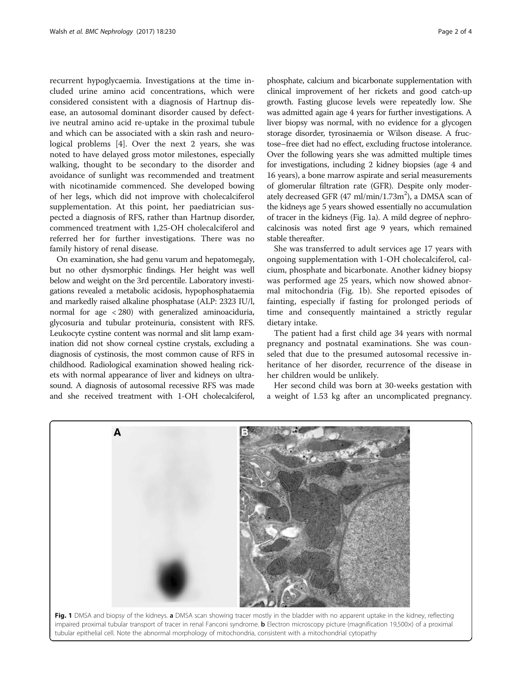recurrent hypoglycaemia. Investigations at the time included urine amino acid concentrations, which were considered consistent with a diagnosis of Hartnup disease, an autosomal dominant disorder caused by defective neutral amino acid re-uptake in the proximal tubule and which can be associated with a skin rash and neurological problems [[4\]](#page-3-0). Over the next 2 years, she was noted to have delayed gross motor milestones, especially walking, thought to be secondary to the disorder and avoidance of sunlight was recommended and treatment with nicotinamide commenced. She developed bowing of her legs, which did not improve with cholecalciferol supplementation. At this point, her paediatrician suspected a diagnosis of RFS, rather than Hartnup disorder, commenced treatment with 1,25-OH cholecalciferol and referred her for further investigations. There was no family history of renal disease.

On examination, she had genu varum and hepatomegaly, but no other dysmorphic findings. Her height was well below and weight on the 3rd percentile. Laboratory investigations revealed a metabolic acidosis, hypophosphataemia and markedly raised alkaline phosphatase (ALP: 2323 IU/l, normal for age < 280) with generalized aminoaciduria, glycosuria and tubular proteinuria, consistent with RFS. Leukocyte cystine content was normal and slit lamp examination did not show corneal cystine crystals, excluding a diagnosis of cystinosis, the most common cause of RFS in childhood. Radiological examination showed healing rickets with normal appearance of liver and kidneys on ultrasound. A diagnosis of autosomal recessive RFS was made and she received treatment with 1-OH cholecalciferol,

phosphate, calcium and bicarbonate supplementation with clinical improvement of her rickets and good catch-up growth. Fasting glucose levels were repeatedly low. She was admitted again age 4 years for further investigations. A liver biopsy was normal, with no evidence for a glycogen storage disorder, tyrosinaemia or Wilson disease. A fructose–free diet had no effect, excluding fructose intolerance. Over the following years she was admitted multiple times for investigations, including 2 kidney biopsies (age 4 and 16 years), a bone marrow aspirate and serial measurements of glomerular filtration rate (GFR). Despite only moderately decreased GFR (47 ml/min/1.73m<sup>2</sup>), a DMSA scan of the kidneys age 5 years showed essentially no accumulation of tracer in the kidneys (Fig. 1a). A mild degree of nephrocalcinosis was noted first age 9 years, which remained stable thereafter.

She was transferred to adult services age 17 years with ongoing supplementation with 1-OH cholecalciferol, calcium, phosphate and bicarbonate. Another kidney biopsy was performed age 25 years, which now showed abnormal mitochondria (Fig. 1b). She reported episodes of fainting, especially if fasting for prolonged periods of time and consequently maintained a strictly regular dietary intake.

The patient had a first child age 34 years with normal pregnancy and postnatal examinations. She was counseled that due to the presumed autosomal recessive inheritance of her disorder, recurrence of the disease in her children would be unlikely.

Her second child was born at 30-weeks gestation with a weight of 1.53 kg after an uncomplicated pregnancy.

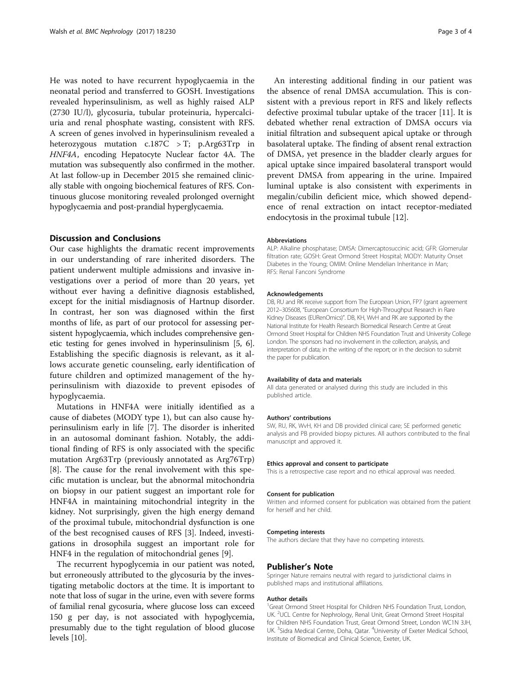He was noted to have recurrent hypoglycaemia in the neonatal period and transferred to GOSH. Investigations revealed hyperinsulinism, as well as highly raised ALP (2730 IU/l), glycosuria, tubular proteinuria, hypercalciuria and renal phosphate wasting, consistent with RFS. A screen of genes involved in hyperinsulinism revealed a heterozygous mutation c.187C > T; p.Arg63Trp in HNF4A, encoding Hepatocyte Nuclear factor 4A. The mutation was subsequently also confirmed in the mother. At last follow-up in December 2015 she remained clinically stable with ongoing biochemical features of RFS. Continuous glucose monitoring revealed prolonged overnight hypoglycaemia and post-prandial hyperglycaemia.

# Discussion and Conclusions

Our case highlights the dramatic recent improvements in our understanding of rare inherited disorders. The patient underwent multiple admissions and invasive investigations over a period of more than 20 years, yet without ever having a definitive diagnosis established, except for the initial misdiagnosis of Hartnup disorder. In contrast, her son was diagnosed within the first months of life, as part of our protocol for assessing persistent hypoglycaemia, which includes comprehensive genetic testing for genes involved in hyperinsulinism [\[5, 6](#page-3-0)]. Establishing the specific diagnosis is relevant, as it allows accurate genetic counseling, early identification of future children and optimized management of the hyperinsulinism with diazoxide to prevent episodes of hypoglycaemia.

Mutations in HNF4A were initially identified as a cause of diabetes (MODY type 1), but can also cause hyperinsulinism early in life [\[7](#page-3-0)]. The disorder is inherited in an autosomal dominant fashion. Notably, the additional finding of RFS is only associated with the specific mutation Arg63Trp (previously annotated as Arg76Trp) [[8\]](#page-3-0). The cause for the renal involvement with this specific mutation is unclear, but the abnormal mitochondria on biopsy in our patient suggest an important role for HNF4A in maintaining mitochondrial integrity in the kidney. Not surprisingly, given the high energy demand of the proximal tubule, mitochondrial dysfunction is one of the best recognised causes of RFS [[3\]](#page-3-0). Indeed, investigations in drosophila suggest an important role for HNF4 in the regulation of mitochondrial genes [\[9\]](#page-3-0).

The recurrent hypoglycemia in our patient was noted, but erroneously attributed to the glycosuria by the investigating metabolic doctors at the time. It is important to note that loss of sugar in the urine, even with severe forms of familial renal gycosuria, where glucose loss can exceed 150 g per day, is not associated with hypoglycemia, presumably due to the tight regulation of blood glucose levels [\[10\]](#page-3-0).

An interesting additional finding in our patient was the absence of renal DMSA accumulation. This is consistent with a previous report in RFS and likely reflects defective proximal tubular uptake of the tracer [\[11](#page-3-0)]. It is debated whether renal extraction of DMSA occurs via initial filtration and subsequent apical uptake or through basolateral uptake. The finding of absent renal extraction of DMSA, yet presence in the bladder clearly argues for apical uptake since impaired basolateral transport would prevent DMSA from appearing in the urine. Impaired luminal uptake is also consistent with experiments in megalin/cubilin deficient mice, which showed dependence of renal extraction on intact receptor-mediated endocytosis in the proximal tubule [\[12\]](#page-3-0).

#### Abbreviations

ALP: Alkaline phosphatase; DMSA: Dimercaptosuccinic acid; GFR: Glomerular filtration rate; GOSH: Great Ormond Street Hospital; MODY: Maturity Onset Diabetes in the Young; OMIM: Online Mendelian Inheritance in Man; RFS: Renal Fanconi Syndrome

#### Acknowledgements

DB, RU and RK receive support from The European Union, FP7 (grant agreement 2012–305608, "European Consortium for High-Throughput Research in Rare Kidney Diseases (EURenOmics)". DB, KH, WvH and RK are supported by the National Institute for Health Research Biomedical Research Centre at Great Ormond Street Hospital for Children NHS Foundation Trust and University College London. The sponsors had no involvement in the collection, analysis, and interpretation of data; in the writing of the report; or in the decision to submit the paper for publication.

#### Availability of data and materials

All data generated or analysed during this study are included in this published article.

#### Authors' contributions

SW, RU, RK, WvH, KH and DB provided clinical care; SE performed genetic analysis and PB provided biopsy pictures. All authors contributed to the final manuscript and approved it.

#### Ethics approval and consent to participate

This is a retrospective case report and no ethical approval was needed.

#### Consent for publication

Written and informed consent for publication was obtained from the patient for herself and her child.

#### Competing interests

The authors declare that they have no competing interests.

#### Publisher's Note

Springer Nature remains neutral with regard to jurisdictional claims in published maps and institutional affiliations.

#### Author details

<sup>1</sup>Great Ormond Street Hospital for Children NHS Foundation Trust, London, UK. <sup>2</sup>UCL Centre for Nephrology, Renal Unit, Great Ormond Street Hospital for Children NHS Foundation Trust, Great Ormond Street, London WC1N 3JH, UK. <sup>3</sup>Sidra Medical Centre, Doha, Qatar. <sup>4</sup>University of Exeter Medical School Institute of Biomedical and Clinical Science, Exeter, UK.